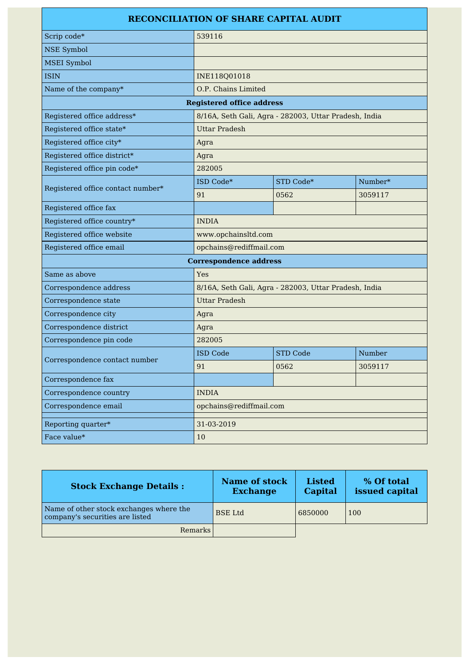### **RECONCILIATION OF SHARE CAPITAL AUDIT**

| Scrip code*                       | 539116                                                |                 |         |
|-----------------------------------|-------------------------------------------------------|-----------------|---------|
| <b>NSE Symbol</b>                 |                                                       |                 |         |
| <b>MSEI</b> Symbol                |                                                       |                 |         |
| <b>ISIN</b>                       | INE118Q01018                                          |                 |         |
| Name of the company*              | O.P. Chains Limited                                   |                 |         |
| <b>Registered office address</b>  |                                                       |                 |         |
| Registered office address*        | 8/16A, Seth Gali, Agra - 282003, Uttar Pradesh, India |                 |         |
| Registered office state*          | <b>Uttar Pradesh</b>                                  |                 |         |
| Registered office city*           | Agra                                                  |                 |         |
| Registered office district*       | Agra                                                  |                 |         |
| Registered office pin code*       | 282005                                                |                 |         |
| Registered office contact number* | ISD Code*                                             | STD Code*       | Number* |
|                                   | 91                                                    | 0562            | 3059117 |
| Registered office fax             |                                                       |                 |         |
| Registered office country*        | <b>INDIA</b>                                          |                 |         |
| Registered office website         | www.opchainsltd.com                                   |                 |         |
| Registered office email           | opchains@rediffmail.com                               |                 |         |
| <b>Correspondence address</b>     |                                                       |                 |         |
| Same as above                     | Yes                                                   |                 |         |
| Correspondence address            | 8/16A, Seth Gali, Agra - 282003, Uttar Pradesh, India |                 |         |
| Correspondence state              | <b>Uttar Pradesh</b>                                  |                 |         |
| Correspondence city               | Agra                                                  |                 |         |
| Correspondence district           | Agra                                                  |                 |         |
| Correspondence pin code           | 282005                                                |                 |         |
| Correspondence contact number     | <b>ISD Code</b>                                       | <b>STD Code</b> | Number  |
|                                   | 91                                                    | 0562            | 3059117 |
| Correspondence fax                |                                                       |                 |         |
| Correspondence country            | <b>INDIA</b>                                          |                 |         |
| Correspondence email              | opchains@rediffmail.com                               |                 |         |
| Reporting quarter*                | 31-03-2019                                            |                 |         |
| Face value*                       | 10                                                    |                 |         |

| <b>Stock Exchange Details:</b>                                             | <b>Name of stock</b><br><b>Exchange</b> | <b>Listed</b><br>Capital | % Of total<br>issued capital |
|----------------------------------------------------------------------------|-----------------------------------------|--------------------------|------------------------------|
| Name of other stock exchanges where the<br>company's securities are listed | <b>BSE</b> Ltd                          | 6850000                  | 100                          |
| <b>Remarks</b>                                                             |                                         |                          |                              |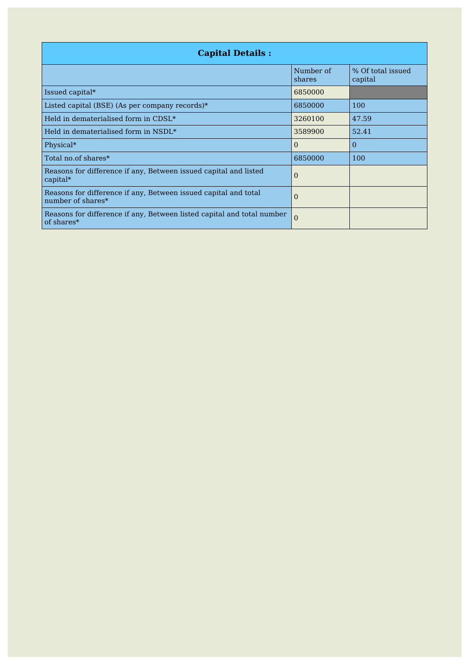| <b>Capital Details:</b>                                                              |                     |                              |
|--------------------------------------------------------------------------------------|---------------------|------------------------------|
|                                                                                      | Number of<br>shares | % Of total issued<br>capital |
| Issued capital*                                                                      | 6850000             |                              |
| Listed capital (BSE) (As per company records)*                                       | 6850000             | 100                          |
| $\vert$ Held in dematerialised form in CDSL*                                         | 3260100             | 47.59                        |
| $\vert$ Held in dematerialised form in NSDL*                                         | 3589900             | 52.41                        |
| Physical*                                                                            | 0                   | $\overline{0}$               |
| Total no.of shares*                                                                  | 6850000             | 100                          |
| Reasons for difference if any, Between issued capital and listed<br>$capital*$       | 0                   |                              |
| Reasons for difference if any, Between issued capital and total<br>number of shares* | 0                   |                              |
| Reasons for difference if any, Between listed capital and total number<br>of shares* | $\Omega$            |                              |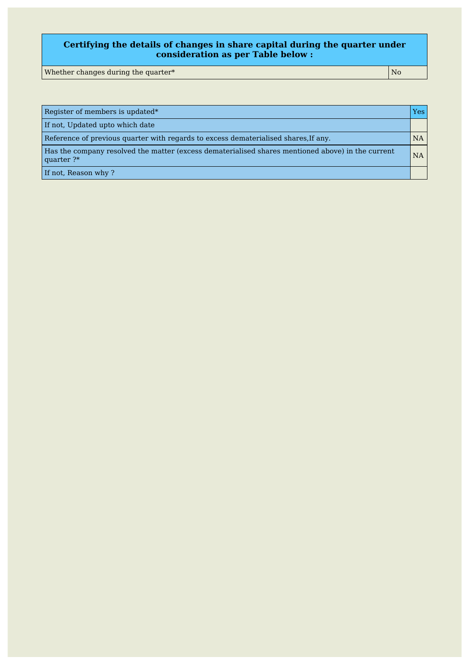#### **Certifying the details of changes in share capital during the quarter under consideration as per Table below :**

Whether changes during the quarter\*  $N$ 

| Register of members is updated*                                                                                   | Yes:      |
|-------------------------------------------------------------------------------------------------------------------|-----------|
| If not, Updated upto which date                                                                                   |           |
| Reference of previous quarter with regards to excess dematerialised shares, If any.                               | <b>NA</b> |
| Has the company resolved the matter (excess dematerialised shares mentioned above) in the current<br>quarter $?*$ | <b>NA</b> |
| If not, Reason why?                                                                                               |           |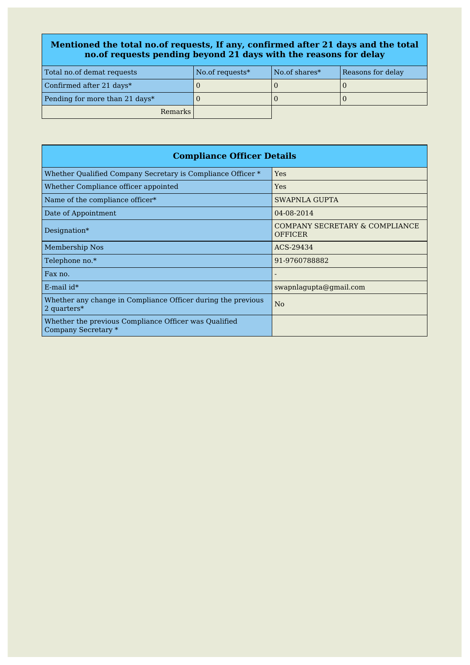#### **Mentioned the total no.of requests, If any, confirmed after 21 days and the total no.of requests pending beyond 21 days with the reasons for delay**

| Total no.of demat requests     | No.of requests <sup>*</sup> | No.of shares* | Reasons for delay |
|--------------------------------|-----------------------------|---------------|-------------------|
| Confirmed after 21 days*       |                             |               |                   |
| Pending for more than 21 days* |                             |               |                   |
| Remarks                        |                             |               |                   |

| <b>Compliance Officer Details</b>                                              |                                                  |  |
|--------------------------------------------------------------------------------|--------------------------------------------------|--|
| Whether Qualified Company Secretary is Compliance Officer *                    | Yes                                              |  |
| Whether Compliance officer appointed                                           | Yes                                              |  |
| Name of the compliance officer*                                                | SWAPNLA GUPTA                                    |  |
| Date of Appointment                                                            | 04-08-2014                                       |  |
| Designation*                                                                   | COMPANY SECRETARY & COMPLIANCE<br><b>OFFICER</b> |  |
| Membership Nos                                                                 | ACS-29434                                        |  |
| Telephone no.*                                                                 | 91-9760788882                                    |  |
| Fax no.                                                                        |                                                  |  |
| $E$ -mail id*                                                                  | swapnlagupta@gmail.com                           |  |
| Whether any change in Compliance Officer during the previous<br>2 quarters $*$ | N <sub>o</sub>                                   |  |
| Whether the previous Compliance Officer was Qualified<br>Company Secretary *   |                                                  |  |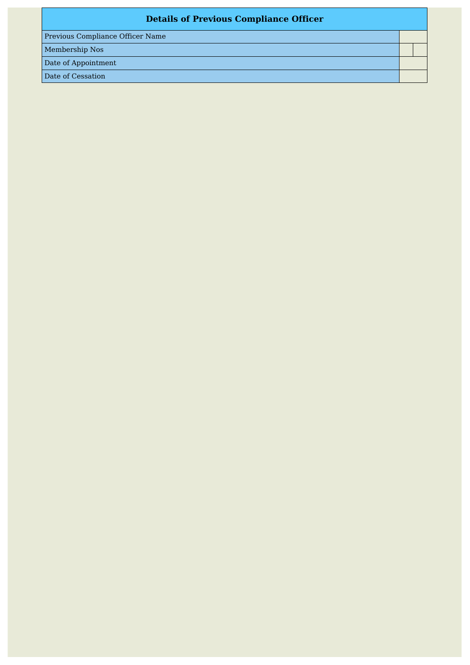## **Details of Previous Compliance Officer**

Previous Compliance Officer Name

Membership Nos

Date of Appointment

Date of Cessation